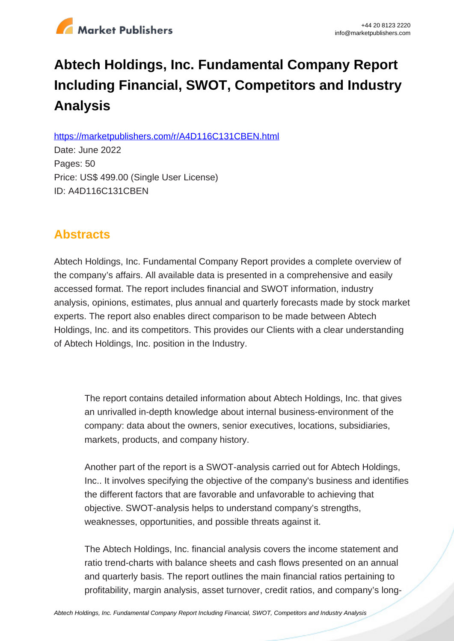

# **Abtech Holdings, Inc. Fundamental Company Report Including Financial, SWOT, Competitors and Industry Analysis**

https://marketpublishers.com/r/A4D116C131CBEN.html

Date: June 2022 Pages: 50 Price: US\$ 499.00 (Single User License) ID: A4D116C131CBEN

# **Abstracts**

Abtech Holdings, Inc. Fundamental Company Report provides a complete overview of the company's affairs. All available data is presented in a comprehensive and easily accessed format. The report includes financial and SWOT information, industry analysis, opinions, estimates, plus annual and quarterly forecasts made by stock market experts. The report also enables direct comparison to be made between Abtech Holdings, Inc. and its competitors. This provides our Clients with a clear understanding of Abtech Holdings, Inc. position in the Industry.

The report contains detailed information about Abtech Holdings, Inc. that gives an unrivalled in-depth knowledge about internal business-environment of the company: data about the owners, senior executives, locations, subsidiaries, markets, products, and company history.

Another part of the report is a SWOT-analysis carried out for Abtech Holdings, Inc.. It involves specifying the objective of the company's business and identifies the different factors that are favorable and unfavorable to achieving that objective. SWOT-analysis helps to understand company's strengths, weaknesses, opportunities, and possible threats against it.

The Abtech Holdings, Inc. financial analysis covers the income statement and ratio trend-charts with balance sheets and cash flows presented on an annual and quarterly basis. The report outlines the main financial ratios pertaining to profitability, margin analysis, asset turnover, credit ratios, and company's long-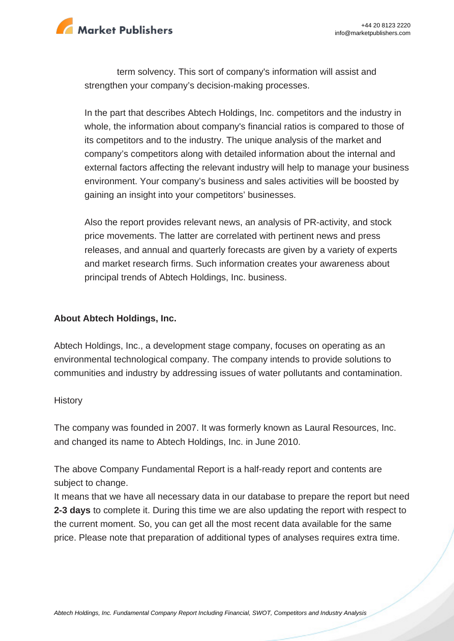

term solvency. This sort of company's information will assist and strengthen your company's decision-making processes.

In the part that describes Abtech Holdings, Inc. competitors and the industry in whole, the information about company's financial ratios is compared to those of its competitors and to the industry. The unique analysis of the market and company's competitors along with detailed information about the internal and external factors affecting the relevant industry will help to manage your business environment. Your company's business and sales activities will be boosted by gaining an insight into your competitors' businesses.

Also the report provides relevant news, an analysis of PR-activity, and stock price movements. The latter are correlated with pertinent news and press releases, and annual and quarterly forecasts are given by a variety of experts and market research firms. Such information creates your awareness about principal trends of Abtech Holdings, Inc. business.

#### **About Abtech Holdings, Inc.**

Abtech Holdings, Inc., a development stage company, focuses on operating as an environmental technological company. The company intends to provide solutions to communities and industry by addressing issues of water pollutants and contamination.

#### **History**

The company was founded in 2007. It was formerly known as Laural Resources, Inc. and changed its name to Abtech Holdings, Inc. in June 2010.

The above Company Fundamental Report is a half-ready report and contents are subject to change.

It means that we have all necessary data in our database to prepare the report but need **2-3 days** to complete it. During this time we are also updating the report with respect to the current moment. So, you can get all the most recent data available for the same price. Please note that preparation of additional types of analyses requires extra time.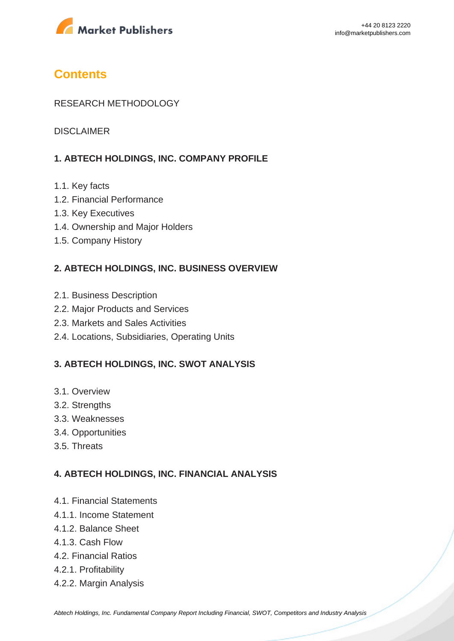

# **Contents**

#### RESEARCH METHODOLOGY

DISCLAIMER

#### **1. ABTECH HOLDINGS, INC. COMPANY PROFILE**

- 1.1. Key facts
- 1.2. Financial Performance
- 1.3. Key Executives
- 1.4. Ownership and Major Holders
- 1.5. Company History

#### **2. ABTECH HOLDINGS, INC. BUSINESS OVERVIEW**

- 2.1. Business Description
- 2.2. Major Products and Services
- 2.3. Markets and Sales Activities
- 2.4. Locations, Subsidiaries, Operating Units

#### **3. ABTECH HOLDINGS, INC. SWOT ANALYSIS**

- 3.1. Overview
- 3.2. Strengths
- 3.3. Weaknesses
- 3.4. Opportunities
- 3.5. Threats

#### **4. ABTECH HOLDINGS, INC. FINANCIAL ANALYSIS**

- 4.1. Financial Statements
- 4.1.1. Income Statement
- 4.1.2. Balance Sheet
- 4.1.3. Cash Flow
- 4.2. Financial Ratios
- 4.2.1. Profitability
- 4.2.2. Margin Analysis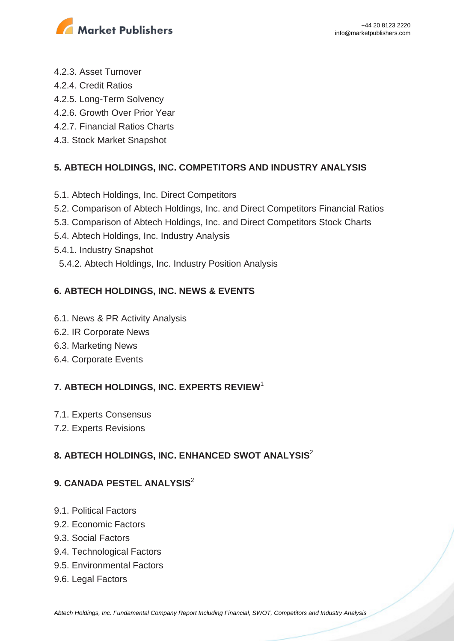

- 4.2.3. Asset Turnover
- 4.2.4. Credit Ratios
- 4.2.5. Long-Term Solvency
- 4.2.6. Growth Over Prior Year
- 4.2.7. Financial Ratios Charts
- 4.3. Stock Market Snapshot

## **5. ABTECH HOLDINGS, INC. COMPETITORS AND INDUSTRY ANALYSIS**

- 5.1. Abtech Holdings, Inc. Direct Competitors
- 5.2. Comparison of Abtech Holdings, Inc. and Direct Competitors Financial Ratios
- 5.3. Comparison of Abtech Holdings, Inc. and Direct Competitors Stock Charts
- 5.4. Abtech Holdings, Inc. Industry Analysis
- 5.4.1. Industry Snapshot
- 5.4.2. Abtech Holdings, Inc. Industry Position Analysis

## **6. ABTECH HOLDINGS, INC. NEWS & EVENTS**

- 6.1. News & PR Activity Analysis
- 6.2. IR Corporate News
- 6.3. Marketing News
- 6.4. Corporate Events

# **7. ABTECH HOLDINGS, INC. EXPERTS REVIEW**<sup>1</sup>

- 7.1. Experts Consensus
- 7.2. Experts Revisions

# **8. ABTECH HOLDINGS, INC. ENHANCED SWOT ANALYSIS**<sup>2</sup>

### **9. CANADA PESTEL ANALYSIS**<sup>2</sup>

- 9.1. Political Factors
- 9.2. Economic Factors
- 9.3. Social Factors
- 9.4. Technological Factors
- 9.5. Environmental Factors
- 9.6. Legal Factors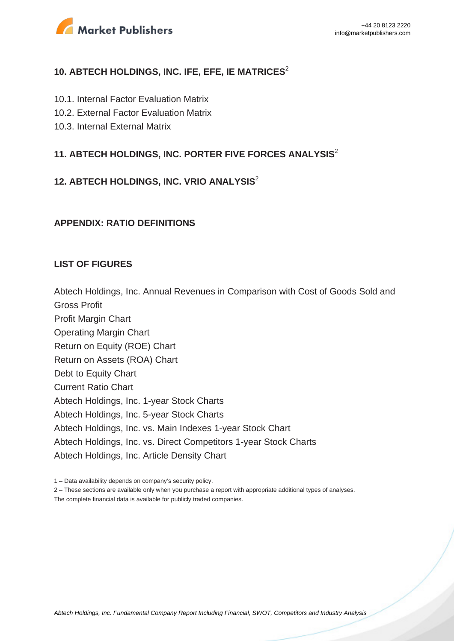

#### **10. ABTECH HOLDINGS, INC. IFE, EFE, IE MATRICES**<sup>2</sup>

- 10.1. Internal Factor Evaluation Matrix
- 10.2. External Factor Evaluation Matrix
- 10.3. Internal External Matrix

#### **11. ABTECH HOLDINGS, INC. PORTER FIVE FORCES ANALYSIS**<sup>2</sup>

#### **12. ABTECH HOLDINGS, INC. VRIO ANALYSIS**<sup>2</sup>

#### **APPENDIX: RATIO DEFINITIONS**

#### **LIST OF FIGURES**

Abtech Holdings, Inc. Annual Revenues in Comparison with Cost of Goods Sold and

Gross Profit

Profit Margin Chart Operating Margin Chart Return on Equity (ROE) Chart Return on Assets (ROA) Chart Debt to Equity Chart Current Ratio Chart Abtech Holdings, Inc. 1-year Stock Charts Abtech Holdings, Inc. 5-year Stock Charts Abtech Holdings, Inc. vs. Main Indexes 1-year Stock Chart Abtech Holdings, Inc. vs. Direct Competitors 1-year Stock Charts Abtech Holdings, Inc. Article Density Chart

2 – These sections are available only when you purchase a report with appropriate additional types of analyses.

The complete financial data is available for publicly traded companies.

<sup>1 –</sup> Data availability depends on company's security policy.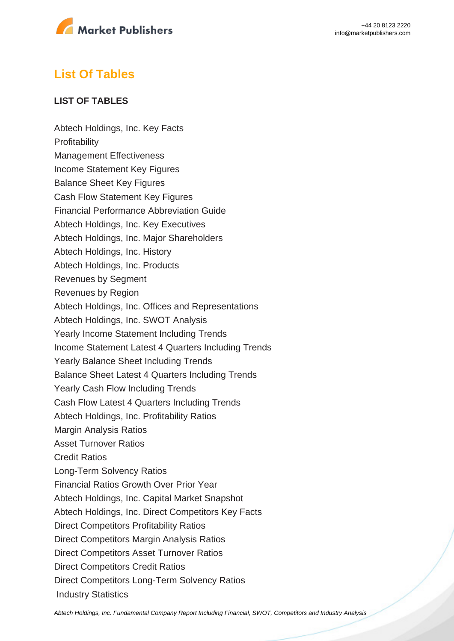

# **List Of Tables**

#### **LIST OF TABLES**

Abtech Holdings, Inc. Key Facts **Profitability** Management Effectiveness Income Statement Key Figures Balance Sheet Key Figures Cash Flow Statement Key Figures Financial Performance Abbreviation Guide Abtech Holdings, Inc. Key Executives Abtech Holdings, Inc. Major Shareholders Abtech Holdings, Inc. History Abtech Holdings, Inc. Products Revenues by Segment Revenues by Region Abtech Holdings, Inc. Offices and Representations Abtech Holdings, Inc. SWOT Analysis Yearly Income Statement Including Trends Income Statement Latest 4 Quarters Including Trends Yearly Balance Sheet Including Trends Balance Sheet Latest 4 Quarters Including Trends Yearly Cash Flow Including Trends Cash Flow Latest 4 Quarters Including Trends Abtech Holdings, Inc. Profitability Ratios Margin Analysis Ratios Asset Turnover Ratios Credit Ratios Long-Term Solvency Ratios Financial Ratios Growth Over Prior Year Abtech Holdings, Inc. Capital Market Snapshot Abtech Holdings, Inc. Direct Competitors Key Facts Direct Competitors Profitability Ratios Direct Competitors Margin Analysis Ratios Direct Competitors Asset Turnover Ratios Direct Competitors Credit Ratios Direct Competitors Long-Term Solvency Ratios Industry Statistics

[Abtech Holdings, Inc. Fundamental Company Report Including Financial, SWOT, Competitors and Industry Analysis](https://marketpublishers.com/report/industry/metallurgy/abtech_holdings_inc_swot_analysis_bac.html)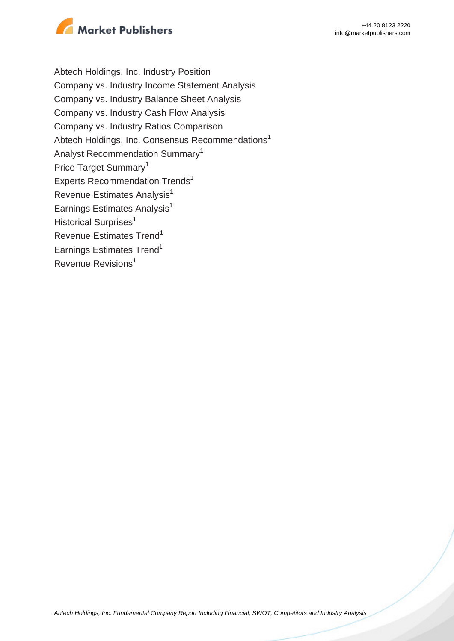

Abtech Holdings, Inc. Industry Position Company vs. Industry Income Statement Analysis Company vs. Industry Balance Sheet Analysis Company vs. Industry Cash Flow Analysis Company vs. Industry Ratios Comparison Abtech Holdings, Inc. Consensus Recommendations<sup>1</sup> Analyst Recommendation Summary<sup>1</sup> Price Target Summary<sup>1</sup> Experts Recommendation Trends<sup>1</sup> Revenue Estimates Analysis<sup>1</sup> Earnings Estimates Analysis $<sup>1</sup>$ </sup> Historical Surprises<sup>1</sup> Revenue Estimates Trend<sup>1</sup> Earnings Estimates Trend<sup>1</sup> Revenue Revisions<sup>1</sup>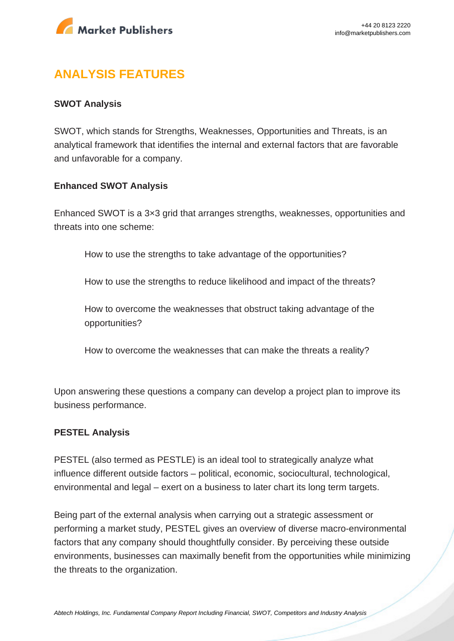

# **ANALYSIS FEATURES**

#### **SWOT Analysis**

SWOT, which stands for Strengths, Weaknesses, Opportunities and Threats, is an analytical framework that identifies the internal and external factors that are favorable and unfavorable for a company.

#### **Enhanced SWOT Analysis**

Enhanced SWOT is a 3×3 grid that arranges strengths, weaknesses, opportunities and threats into one scheme:

How to use the strengths to take advantage of the opportunities?

How to use the strengths to reduce likelihood and impact of the threats?

How to overcome the weaknesses that obstruct taking advantage of the opportunities?

How to overcome the weaknesses that can make the threats a reality?

Upon answering these questions a company can develop a project plan to improve its business performance.

#### **PESTEL Analysis**

PESTEL (also termed as PESTLE) is an ideal tool to strategically analyze what influence different outside factors – political, economic, sociocultural, technological, environmental and legal – exert on a business to later chart its long term targets.

Being part of the external analysis when carrying out a strategic assessment or performing a market study, PESTEL gives an overview of diverse macro-environmental factors that any company should thoughtfully consider. By perceiving these outside environments, businesses can maximally benefit from the opportunities while minimizing the threats to the organization.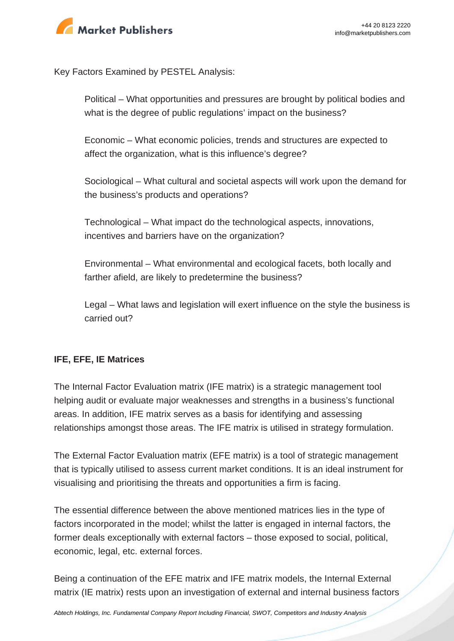

Key Factors Examined by PESTEL Analysis:

Political – What opportunities and pressures are brought by political bodies and what is the degree of public regulations' impact on the business?

Economic – What economic policies, trends and structures are expected to affect the organization, what is this influence's degree?

Sociological – What cultural and societal aspects will work upon the demand for the business's products and operations?

Technological – What impact do the technological aspects, innovations, incentives and barriers have on the organization?

Environmental – What environmental and ecological facets, both locally and farther afield, are likely to predetermine the business?

Legal – What laws and legislation will exert influence on the style the business is carried out?

#### **IFE, EFE, IE Matrices**

The Internal Factor Evaluation matrix (IFE matrix) is a strategic management tool helping audit or evaluate major weaknesses and strengths in a business's functional areas. In addition, IFE matrix serves as a basis for identifying and assessing relationships amongst those areas. The IFE matrix is utilised in strategy formulation.

The External Factor Evaluation matrix (EFE matrix) is a tool of strategic management that is typically utilised to assess current market conditions. It is an ideal instrument for visualising and prioritising the threats and opportunities a firm is facing.

The essential difference between the above mentioned matrices lies in the type of factors incorporated in the model; whilst the latter is engaged in internal factors, the former deals exceptionally with external factors – those exposed to social, political, economic, legal, etc. external forces.

Being a continuation of the EFE matrix and IFE matrix models, the Internal External matrix (IE matrix) rests upon an investigation of external and internal business factors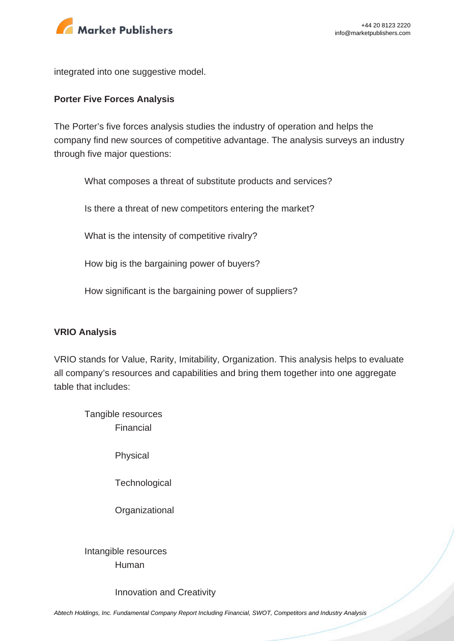

integrated into one suggestive model.

#### **Porter Five Forces Analysis**

The Porter's five forces analysis studies the industry of operation and helps the company find new sources of competitive advantage. The analysis surveys an industry through five major questions:

What composes a threat of substitute products and services?

Is there a threat of new competitors entering the market?

What is the intensity of competitive rivalry?

How big is the bargaining power of buyers?

How significant is the bargaining power of suppliers?

#### **VRIO Analysis**

VRIO stands for Value, Rarity, Imitability, Organization. This analysis helps to evaluate all company's resources and capabilities and bring them together into one aggregate table that includes:

Tangible resources Financial

Physical

**Technological** 

**Organizational** 

Intangible resources Human

Innovation and Creativity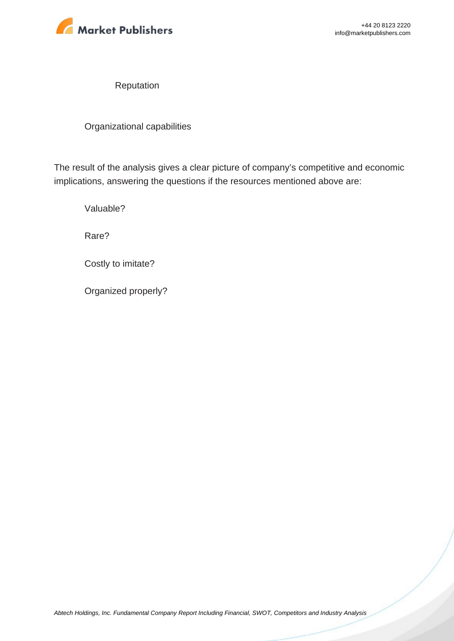

Reputation

Organizational capabilities

The result of the analysis gives a clear picture of company's competitive and economic implications, answering the questions if the resources mentioned above are:

Valuable?

Rare?

Costly to imitate?

Organized properly?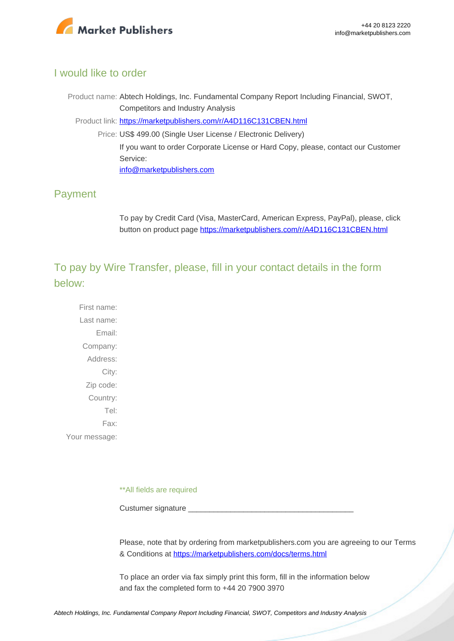

### I would like to order

Product name: Abtech Holdings, Inc. Fundamental Company Report Including Financial, SWOT, Competitors and Industry Analysis Product link: [https://marketpublishers.com/r/A4D116C131CBEN.html](https://marketpublishers.com/report/industry/metallurgy/abtech_holdings_inc_swot_analysis_bac.html) Price: US\$ 499.00 (Single User License / Electronic Delivery) If you want to order Corporate License or Hard Copy, please, contact our Customer Service:

[info@marketpublishers.com](mailto:info@marketpublishers.com)

## Payment

To pay by Credit Card (Visa, MasterCard, American Express, PayPal), please, click button on product page [https://marketpublishers.com/r/A4D116C131CBEN.html](https://marketpublishers.com/report/industry/metallurgy/abtech_holdings_inc_swot_analysis_bac.html)

To pay by Wire Transfer, please, fill in your contact details in the form below:

First name: Last name: Email: Company: Address: City: Zip code: Country: Tel: Fax: Your message:

\*\*All fields are required

Custumer signature

Please, note that by ordering from marketpublishers.com you are agreeing to our Terms & Conditions at<https://marketpublishers.com/docs/terms.html>

To place an order via fax simply print this form, fill in the information below and fax the completed form to +44 20 7900 3970